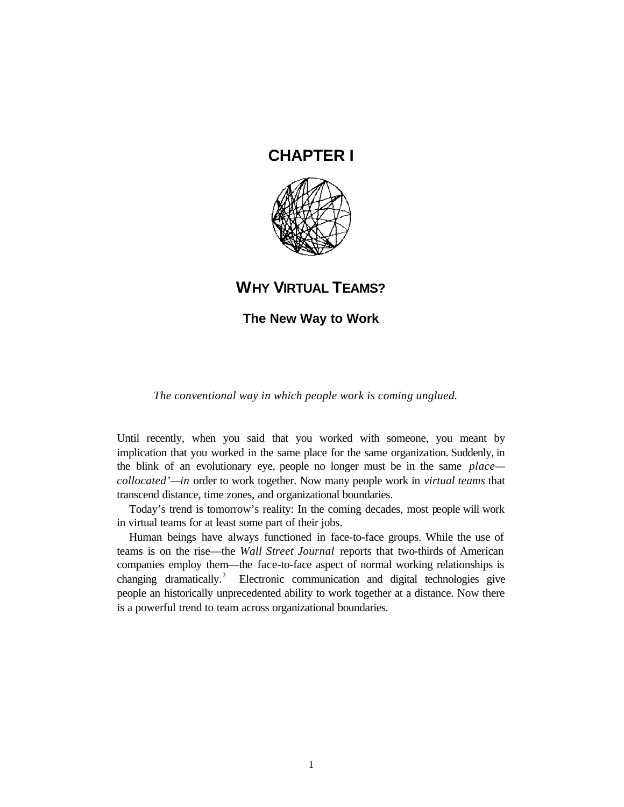# **CHAPTER I**



**WHY VIRTUAL TEAMS?**

## **The New Way to Work**

*The conventional way in which people work is coming unglued.*

Until recently, when you said that you worked with someone, you meant by implication that you worked in the same place for the same organization. Suddenly, in the blink of an evolutionary eye, people no longer must be in the same *place collocated'—in* order to work together. Now many people work in *virtual teams* that transcend distance, time zones, and organizational boundaries.

Today's trend is tomorrow's reality: In the coming decades, most people will work in virtual teams for at least some part of their jobs.

Human beings have always functioned in face-to-face groups. While the use of teams is on the rise—the *Wall Street Journal* reports that two-thirds of American companies employ them—the face-to-face aspect of normal working relationships is changing dramatically.<sup>2</sup> Electronic communication and digital technologies give people an historically unprecedented ability to work together at a distance. Now there is a powerful trend to team across organizational boundaries.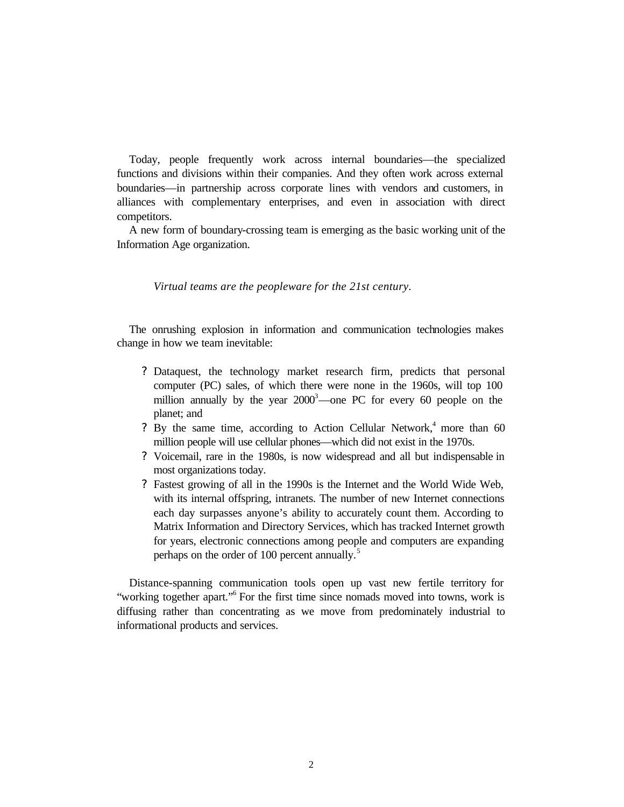Today, people frequently work across internal boundaries—the specialized functions and divisions within their companies. And they often work across external boundaries—in partnership across corporate lines with vendors and customers, in alliances with complementary enterprises, and even in association with direct competitors.

A new form of boundary-crossing team is emerging as the basic working unit of the Information Age organization.

#### *Virtual teams are the peopleware for the 21st century.*

The onrushing explosion in information and communication technologies makes change in how we team inevitable:

- ? Dataquest, the technology market research firm, predicts that personal computer (PC) sales, of which there were none in the 1960s, will top 100 million annually by the year  $2000<sup>3</sup>$ —one PC for every 60 people on the planet; and
- ? By the same time, according to Action Cellular Network, $4 \text{ more than } 60$ million people will use cellular phones—which did not exist in the 1970s.
- ? Voicemail, rare in the 1980s, is now widespread and all but indispensable in most organizations today.
- ? Fastest growing of all in the 1990s is the Internet and the World Wide Web, with its internal offspring, intranets. The number of new Internet connections each day surpasses anyone's ability to accurately count them. According to Matrix Information and Directory Services, which has tracked Internet growth for years, electronic connections among people and computers are expanding perhaps on the order of 100 percent annually.<sup>5</sup>

Distance-spanning communication tools open up vast new fertile territory for "working together apart."<sup>6</sup> For the first time since nomads moved into towns, work is diffusing rather than concentrating as we move from predominately industrial to informational products and services.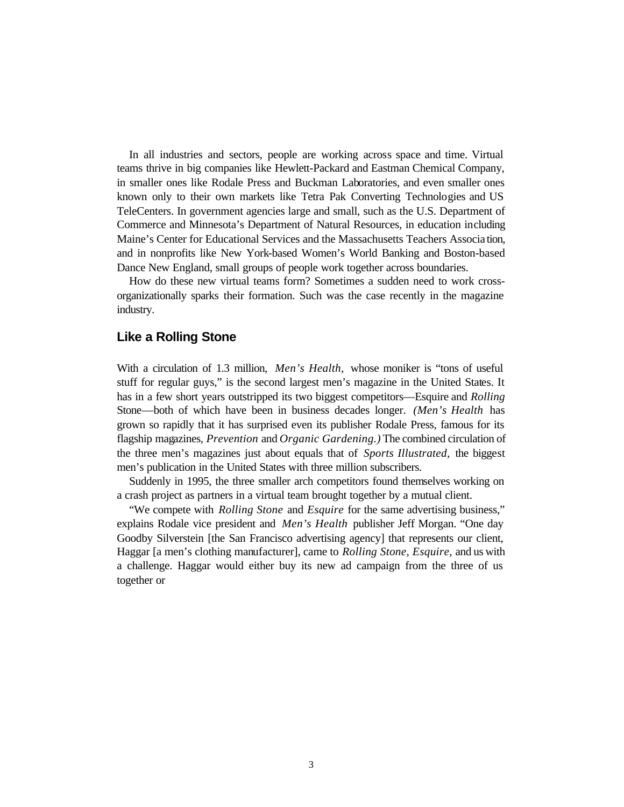In all industries and sectors, people are working across space and time. Virtual teams thrive in big companies like Hewlett-Packard and Eastman Chemical Company, in smaller ones like Rodale Press and Buckman Laboratories, and even smaller ones known only to their own markets like Tetra Pak Converting Technologies and US TeleCenters. In government agencies large and small, such as the U.S. Department of Commerce and Minnesota's Department of Natural Resources, in education including Maine's Center for Educational Services and the Massachusetts Teachers Associa tion, and in nonprofits like New York-based Women's World Banking and Boston-based Dance New England, small groups of people work together across boundaries.

How do these new virtual teams form? Sometimes a sudden need to work crossorganizationally sparks their formation. Such was the case recently in the magazine industry.

### **Like a Rolling Stone**

With a circulation of 1.3 million, *Men's Health,* whose moniker is "tons of useful stuff for regular guys," is the second largest men's magazine in the United States. It has in a few short years outstripped its two biggest competitors—Esquire and *Rolling*  Stone—both of which have been in business decades longer. *(Men's Health* has grown so rapidly that it has surprised even its publisher Rodale Press, famous for its flagship magazines, *Prevention* and *Organic Gardening.)* The combined circulation of the three men's magazines just about equals that of *Sports Illustrated,* the biggest men's publication in the United States with three million subscribers.

Suddenly in 1995, the three smaller arch competitors found themselves working on a crash project as partners in a virtual team brought together by a mutual client.

"We compete with *Rolling Stone* and *Esquire* for the same advertising business," explains Rodale vice president and *Men's Health* publisher Jeff Morgan. "One day Goodby Silverstein [the San Francisco advertising agency] that represents our client, Haggar [a men's clothing manufacturer], came to *Rolling Stone, Esquire,* and us with a challenge. Haggar would either buy its new ad campaign from the three of us together or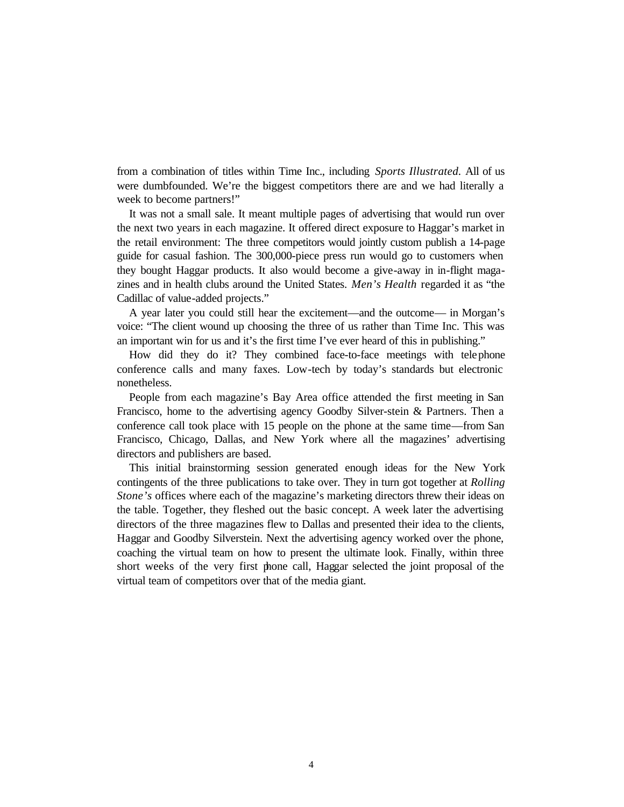from a combination of titles within Time Inc., including *Sports Illustrated.* All of us were dumbfounded. We're the biggest competitors there are and we had literally a week to become partners!"

It was not a small sale. It meant multiple pages of advertising that would run over the next two years in each magazine. It offered direct exposure to Haggar's market in the retail environment: The three competitors would jointly custom publish a 14-page guide for casual fashion. The 300,000-piece press run would go to customers when they bought Haggar products. It also would become a give-away in in-flight magazines and in health clubs around the United States. *Men's Health* regarded it as "the Cadillac of value-added projects."

A year later you could still hear the excitement—and the outcome— in Morgan's voice: "The client wound up choosing the three of us rather than Time Inc. This was an important win for us and it's the first time I've ever heard of this in publishing."

How did they do it? They combined face-to-face meetings with telephone conference calls and many faxes. Low-tech by today's standards but electronic nonetheless.

People from each magazine's Bay Area office attended the first meeting in San Francisco, home to the advertising agency Goodby Silver-stein & Partners. Then a conference call took place with 15 people on the phone at the same time—from San Francisco, Chicago, Dallas, and New York where all the magazines' advertising directors and publishers are based.

This initial brainstorming session generated enough ideas for the New York contingents of the three publications to take over. They in turn got together at *Rolling Stone's* offices where each of the magazine's marketing directors threw their ideas on the table. Together, they fleshed out the basic concept. A week later the advertising directors of the three magazines flew to Dallas and presented their idea to the clients, Haggar and Goodby Silverstein. Next the advertising agency worked over the phone, coaching the virtual team on how to present the ultimate look. Finally, within three short weeks of the very first phone call, Haggar selected the joint proposal of the virtual team of competitors over that of the media giant.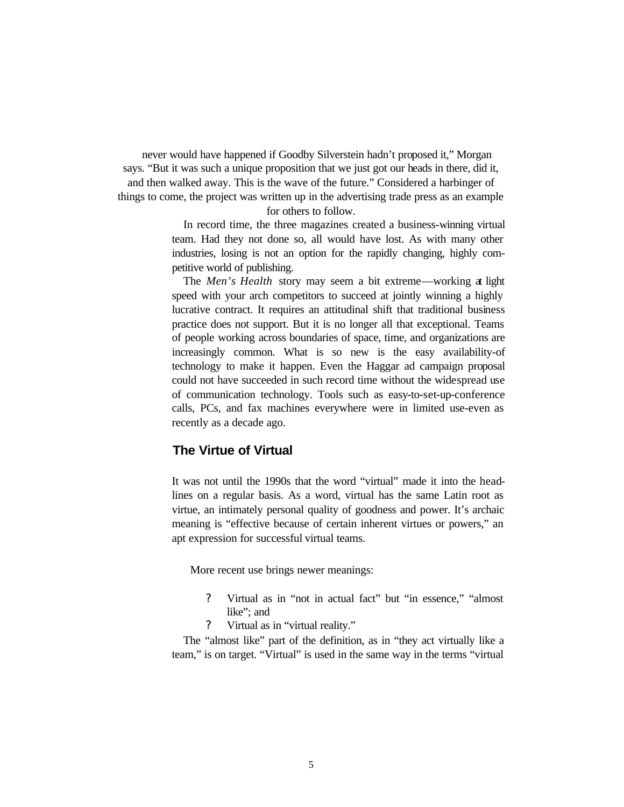never would have happened if Goodby Silverstein hadn't proposed it," Morgan says. "But it was such a unique proposition that we just got our heads in there, did it, and then walked away. This is the wave of the future." Considered a harbinger of things to come, the project was written up in the advertising trade press as an example for others to follow.

> In record time, the three magazines created a business-winning virtual team. Had they not done so, all would have lost. As with many other industries, losing is not an option for the rapidly changing, highly competitive world of publishing.

> The *Men's Health* story may seem a bit extreme—working at light speed with your arch competitors to succeed at jointly winning a highly lucrative contract. It requires an attitudinal shift that traditional business practice does not support. But it is no longer all that exceptional. Teams of people working across boundaries of space, time, and organizations are increasingly common. What is so new is the easy availability-of technology to make it happen. Even the Haggar ad campaign proposal could not have succeeded in such record time without the widespread use of communication technology. Tools such as easy-to-set-up-conference calls, PCs, and fax machines everywhere were in limited use-even as recently as a decade ago.

### **The Virtue of Virtual**

It was not until the 1990s that the word "virtual" made it into the headlines on a regular basis. As a word, virtual has the same Latin root as virtue, an intimately personal quality of goodness and power. It's archaic meaning is "effective because of certain inherent virtues or powers," an apt expression for successful virtual teams.

More recent use brings newer meanings:

- ? Virtual as in "not in actual fact" but "in essence," "almost like"; and
- ? Virtual as in "virtual reality."

The "almost like" part of the definition, as in "they act virtually like a team," is on target. "Virtual" is used in the same way in the terms "virtual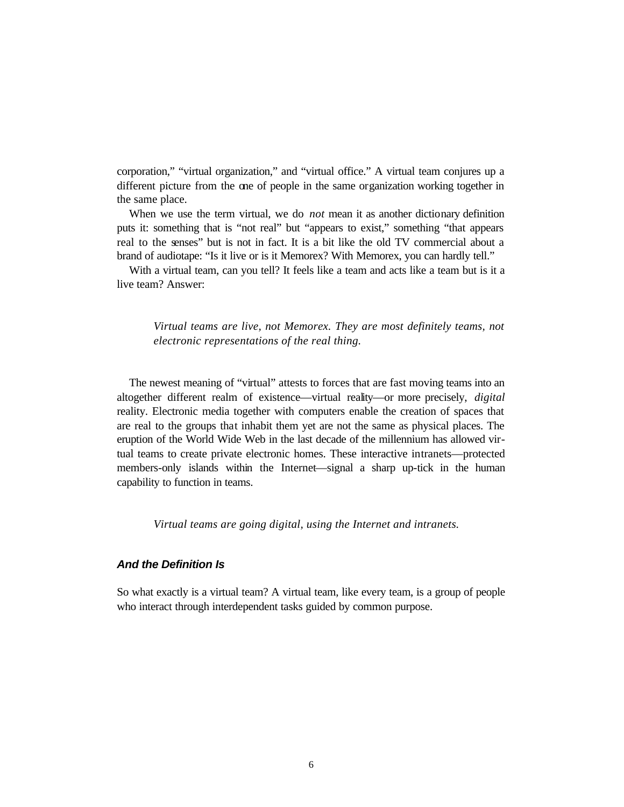corporation," "virtual organization," and "virtual office." A virtual team conjures up a different picture from the one of people in the same organization working together in the same place.

When we use the term virtual, we do *not* mean it as another dictionary definition puts it: something that is "not real" but "appears to exist," something "that appears real to the senses" but is not in fact. It is a bit like the old TV commercial about a brand of audiotape: "Is it live or is it Memorex? With Memorex, you can hardly tell."

With a virtual team, can you tell? It feels like a team and acts like a team but is it a live team? Answer:

*Virtual teams are live, not Memorex. They are most definitely teams, not electronic representations of the real thing.*

The newest meaning of "virtual" attests to forces that are fast moving teams into an altogether different realm of existence—virtual reality—or more precisely, *digital*  reality. Electronic media together with computers enable the creation of spaces that are real to the groups that inhabit them yet are not the same as physical places. The eruption of the World Wide Web in the last decade of the millennium has allowed virtual teams to create private electronic homes. These interactive intranets—protected members-only islands within the Internet—signal a sharp up-tick in the human capability to function in teams.

*Virtual teams are going digital, using the Internet and intranets.*

### *And the Definition Is*

So what exactly is a virtual team? A virtual team, like every team, is a group of people who interact through interdependent tasks guided by common purpose.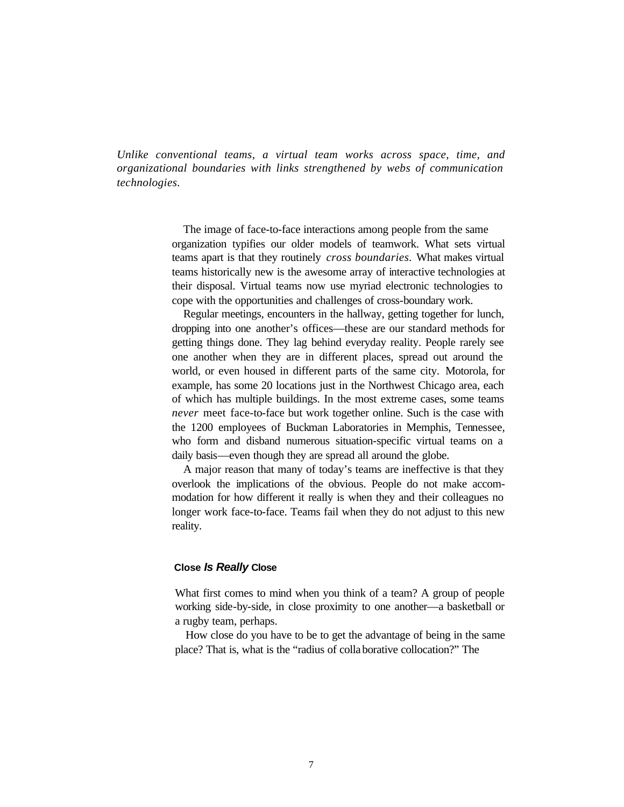*Unlike conventional teams, a virtual team works across space, time, and organizational boundaries with links strengthened by webs of communication technologies.*

> The image of face-to-face interactions among people from the same organization typifies our older models of teamwork. What sets virtual teams apart is that they routinely *cross boundaries.* What makes virtual teams historically new is the awesome array of interactive technologies at their disposal. Virtual teams now use myriad electronic technologies to cope with the opportunities and challenges of cross-boundary work.

> Regular meetings, encounters in the hallway, getting together for lunch, dropping into one another's offices—these are our standard methods for getting things done. They lag behind everyday reality. People rarely see one another when they are in different places, spread out around the world, or even housed in different parts of the same city. Motorola, for example, has some 20 locations just in the Northwest Chicago area, each of which has multiple buildings. In the most extreme cases, some teams *never* meet face-to-face but work together online. Such is the case with the 1200 employees of Buckman Laboratories in Memphis, Tennessee, who form and disband numerous situation-specific virtual teams on a daily basis—even though they are spread all around the globe.

> A major reason that many of today's teams are ineffective is that they overlook the implications of the obvious. People do not make accommodation for how different it really is when they and their colleagues no longer work face-to-face. Teams fail when they do not adjust to this new reality.

#### **Close** *Is Really* **Close**

What first comes to mind when you think of a team? A group of people working side-by-side, in close proximity to one another—a basketball or a rugby team, perhaps.

How close do you have to be to get the advantage of being in the same place? That is, what is the "radius of collaborative collocation?" The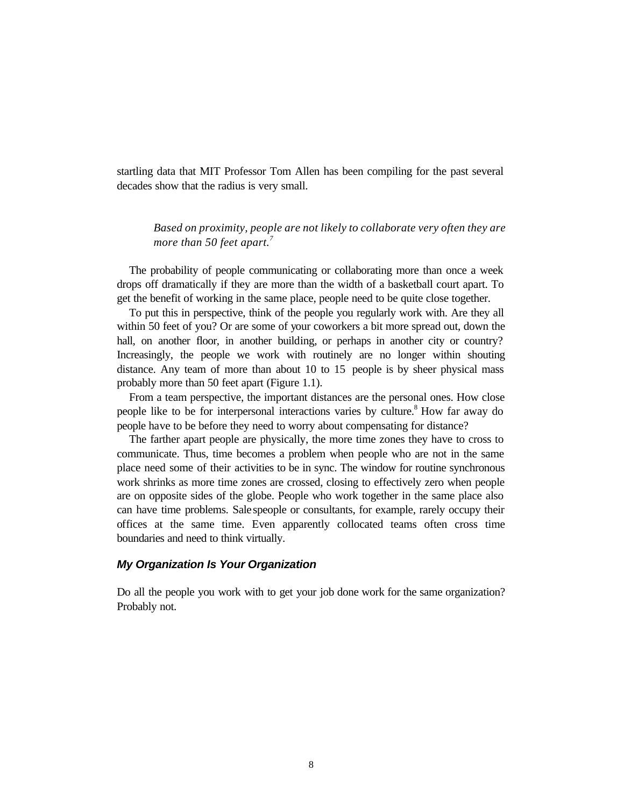startling data that MIT Professor Tom Allen has been compiling for the past several decades show that the radius is very small.

*Based on proximity, people are not likely to collaborate very often they are more than 50 feet apart.<sup>7</sup>*

The probability of people communicating or collaborating more than once a week drops off dramatically if they are more than the width of a basketball court apart. To get the benefit of working in the same place, people need to be quite close together.

To put this in perspective, think of the people you regularly work with. Are they all within 50 feet of you? Or are some of your coworkers a bit more spread out, down the hall, on another floor, in another building, or perhaps in another city or country? Increasingly, the people we work with routinely are no longer within shouting distance. Any team of more than about 10 to 15 people is by sheer physical mass probably more than 50 feet apart (Figure 1.1).

From a team perspective, the important distances are the personal ones. How close people like to be for interpersonal interactions varies by culture.<sup>8</sup> How far away do people have to be before they need to worry about compensating for distance?

The farther apart people are physically, the more time zones they have to cross to communicate. Thus, time becomes a problem when people who are not in the same place need some of their activities to be in sync. The window for routine synchronous work shrinks as more time zones are crossed, closing to effectively zero when people are on opposite sides of the globe. People who work together in the same place also can have time problems. Sale speople or consultants, for example, rarely occupy their offices at the same time. Even apparently collocated teams often cross time boundaries and need to think virtually.

#### *My Organization Is Your Organization*

Do all the people you work with to get your job done work for the same organization? Probably not.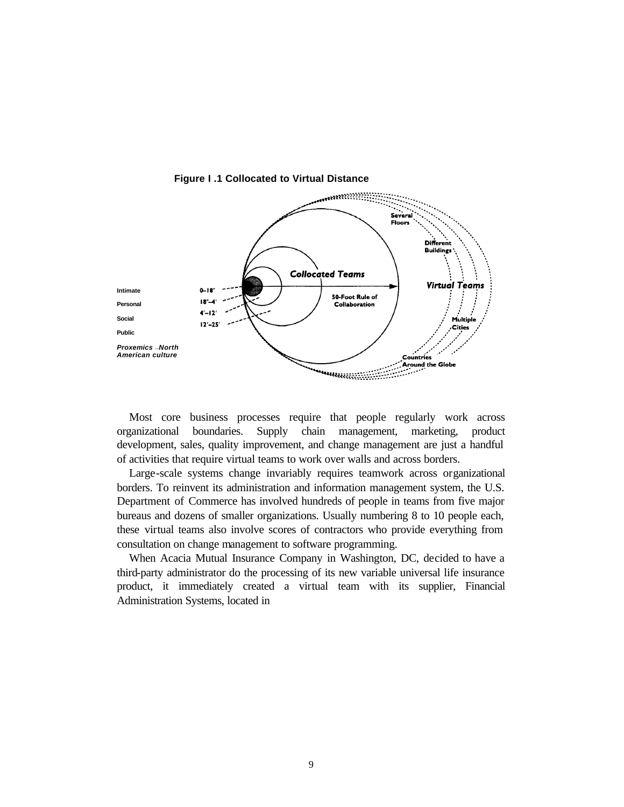

**Figure I .1 Collocated to Virtual Distance**

Most core business processes require that people regularly work across organizational boundaries. Supply chain management, marketing, product development, sales, quality improvement, and change management are just a handful of activities that require virtual teams to work over walls and across borders.

Large-scale systems change invariably requires teamwork across organizational borders. To reinvent its administration and information management system, the U.S. Department of Commerce has involved hundreds of people in teams from five major bureaus and dozens of smaller organizations. Usually numbering 8 to 10 people each, these virtual teams also involve scores of contractors who provide everything from consultation on change management to software programming.

When Acacia Mutual Insurance Company in Washington, DC, decided to have a third-party administrator do the processing of its new variable universal life insurance product, it immediately created a virtual team with its supplier, Financial Administration Systems, located in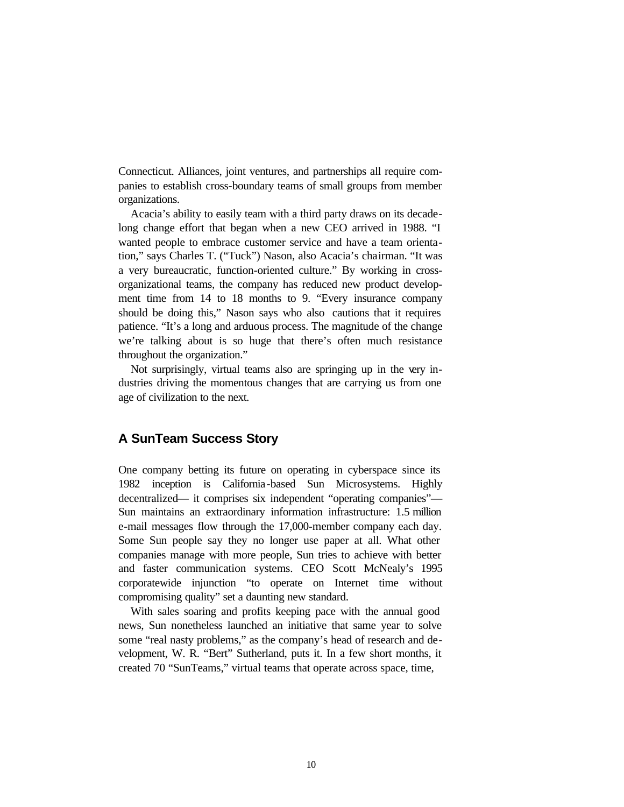Connecticut. Alliances, joint ventures, and partnerships all require companies to establish cross-boundary teams of small groups from member organizations.

Acacia's ability to easily team with a third party draws on its decadelong change effort that began when a new CEO arrived in 1988. "I wanted people to embrace customer service and have a team orientation," says Charles T. ("Tuck") Nason, also Acacia's chairman. "It was a very bureaucratic, function-oriented culture." By working in crossorganizational teams, the company has reduced new product development time from 14 to 18 months to 9. "Every insurance company should be doing this," Nason says who also cautions that it requires patience. "It's a long and arduous process. The magnitude of the change we're talking about is so huge that there's often much resistance throughout the organization."

Not surprisingly, virtual teams also are springing up in the very industries driving the momentous changes that are carrying us from one age of civilization to the next.

## **A SunTeam Success Story**

One company betting its future on operating in cyberspace since its 1982 inception is California-based Sun Microsystems. Highly decentralized— it comprises six independent "operating companies"— Sun maintains an extraordinary information infrastructure: 1.5 million e-mail messages flow through the 17,000-member company each day. Some Sun people say they no longer use paper at all. What other companies manage with more people, Sun tries to achieve with better and faster communication systems. CEO Scott McNealy's 1995 corporatewide injunction "to operate on Internet time without compromising quality" set a daunting new standard.

With sales soaring and profits keeping pace with the annual good news, Sun nonetheless launched an initiative that same year to solve some "real nasty problems," as the company's head of research and development, W. R. "Bert" Sutherland, puts it. In a few short months, it created 70 "SunTeams," virtual teams that operate across space, time,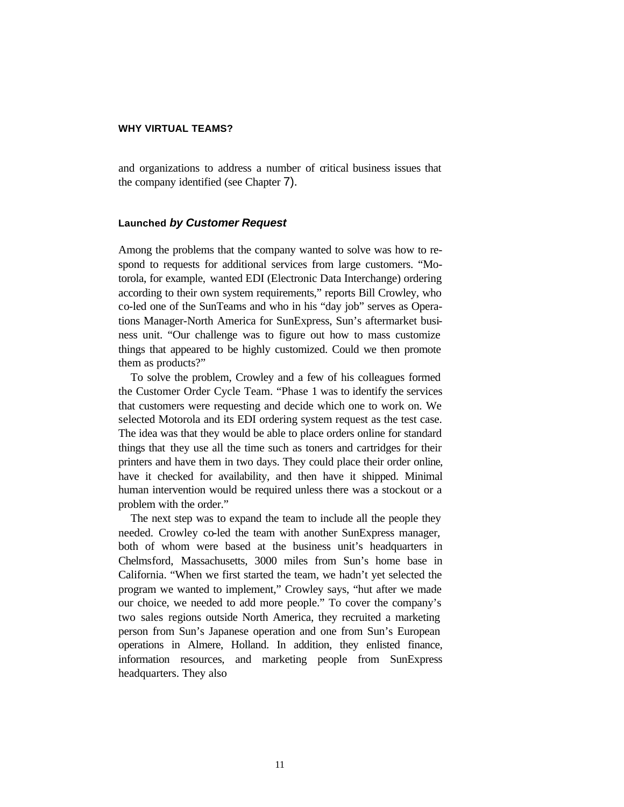#### **WHY VIRTUAL TEAMS?**

and organizations to address a number of critical business issues that the company identified (see Chapter 7).

#### **Launched** *by Customer Request*

Among the problems that the company wanted to solve was how to respond to requests for additional services from large customers. "Motorola, for example, wanted EDI (Electronic Data Interchange) ordering according to their own system requirements," reports Bill Crowley, who co-led one of the SunTeams and who in his "day job" serves as Operations Manager-North America for SunExpress, Sun's aftermarket business unit. "Our challenge was to figure out how to mass customize things that appeared to be highly customized. Could we then promote them as products?"

To solve the problem, Crowley and a few of his colleagues formed the Customer Order Cycle Team. "Phase 1 was to identify the services that customers were requesting and decide which one to work on. We selected Motorola and its EDI ordering system request as the test case. The idea was that they would be able to place orders online for standard things that they use all the time such as toners and cartridges for their printers and have them in two days. They could place their order online, have it checked for availability, and then have it shipped. Minimal human intervention would be required unless there was a stockout or a problem with the order."

The next step was to expand the team to include all the people they needed. Crowley co-led the team with another SunExpress manager, both of whom were based at the business unit's headquarters in Chelmsford, Massachusetts, 3000 miles from Sun's home base in California. "When we first started the team, we hadn't yet selected the program we wanted to implement," Crowley says, "hut after we made our choice, we needed to add more people." To cover the company's two sales regions outside North America, they recruited a marketing person from Sun's Japanese operation and one from Sun's European operations in Almere, Holland. In addition, they enlisted finance, information resources, and marketing people from SunExpress headquarters. They also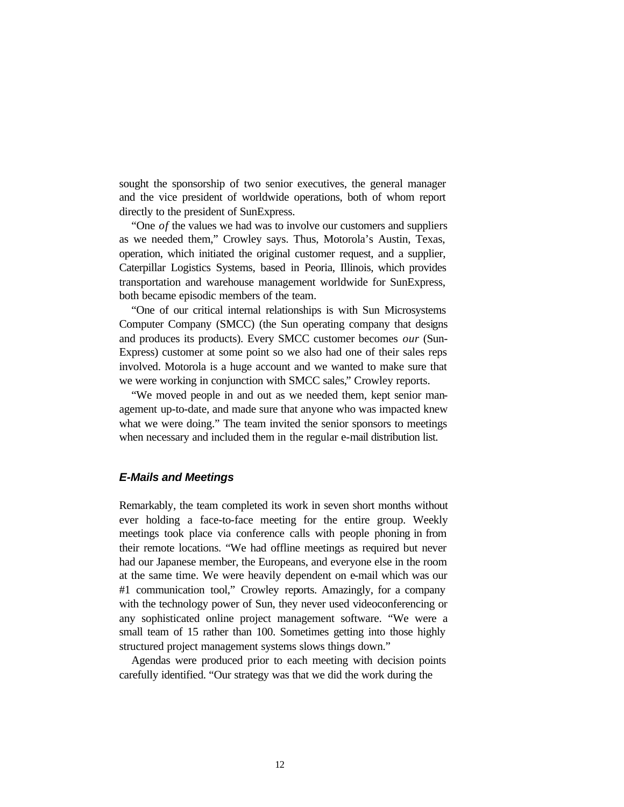sought the sponsorship of two senior executives, the general manager and the vice president of worldwide operations, both of whom report directly to the president of SunExpress.

"One *of* the values we had was to involve our customers and suppliers as we needed them," Crowley says. Thus, Motorola's Austin, Texas, operation, which initiated the original customer request, and a supplier, Caterpillar Logistics Systems, based in Peoria, Illinois, which provides transportation and warehouse management worldwide for SunExpress, both became episodic members of the team.

"One of our critical internal relationships is with Sun Microsystems Computer Company (SMCC) (the Sun operating company that designs and produces its products). Every SMCC customer becomes *our* (Sun-Express) customer at some point so we also had one of their sales reps involved. Motorola is a huge account and we wanted to make sure that we were working in conjunction with SMCC sales," Crowley reports.

"We moved people in and out as we needed them, kept senior management up-to-date, and made sure that anyone who was impacted knew what we were doing." The team invited the senior sponsors to meetings when necessary and included them in the regular e-mail distribution list.

### *E-Mails and Meetings*

Remarkably, the team completed its work in seven short months without ever holding a face-to-face meeting for the entire group. Weekly meetings took place via conference calls with people phoning in from their remote locations. "We had offline meetings as required but never had our Japanese member, the Europeans, and everyone else in the room at the same time. We were heavily dependent on e-mail which was our #1 communication tool," Crowley reports. Amazingly, for a company with the technology power of Sun, they never used videoconferencing or any sophisticated online project management software. "We were a small team of 15 rather than 100. Sometimes getting into those highly structured project management systems slows things down."

Agendas were produced prior to each meeting with decision points carefully identified. "Our strategy was that we did the work during the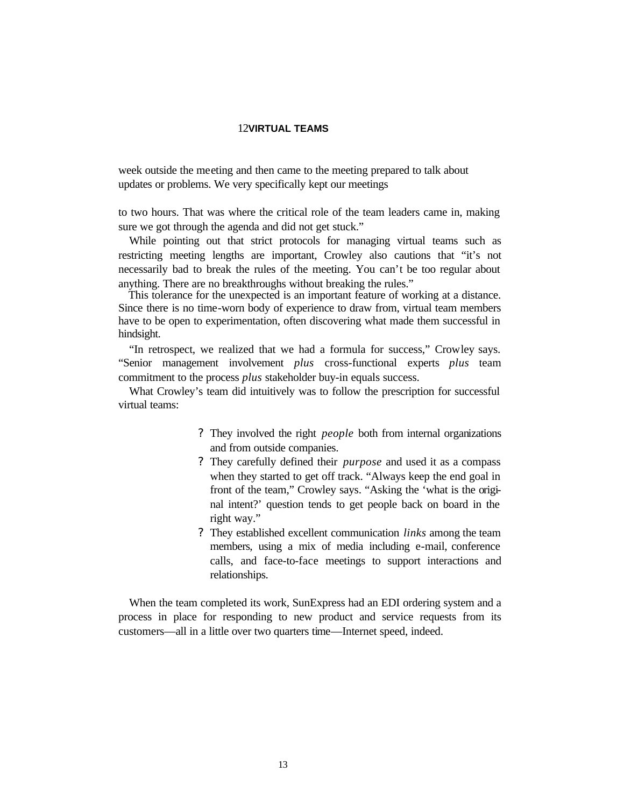### 12**VIRTUAL TEAMS**

week outside the meeting and then came to the meeting prepared to talk about updates or problems. We very specifically kept our meetings

to two hours. That was where the critical role of the team leaders came in, making sure we got through the agenda and did not get stuck."

While pointing out that strict protocols for managing virtual teams such as restricting meeting lengths are important, Crowley also cautions that "it's not necessarily bad to break the rules of the meeting. You can't be too regular about anything. There are no breakthroughs without breaking the rules."

 This tolerance for the unexpected is an important feature of working at a distance. Since there is no time-worn body of experience to draw from, virtual team members have to be open to experimentation, often discovering what made them successful in hindsight.

"In retrospect, we realized that we had a formula for success," Crowley says. "Senior management involvement *plus* cross-functional experts *plus* team commitment to the process *plus* stakeholder buy-in equals success.

What Crowley's team did intuitively was to follow the prescription for successful virtual teams:

- ? They involved the right *people* both from internal organizations and from outside companies.
- ? They carefully defined their *purpose* and used it as a compass when they started to get off track. "Always keep the end goal in front of the team," Crowley says. "Asking the 'what is the original intent?' question tends to get people back on board in the right way."
- ? They established excellent communication *links* among the team members, using a mix of media including e-mail, conference calls, and face-to-face meetings to support interactions and relationships.

When the team completed its work, SunExpress had an EDI ordering system and a process in place for responding to new product and service requests from its customers—all in a little over two quarters time—Internet speed, indeed.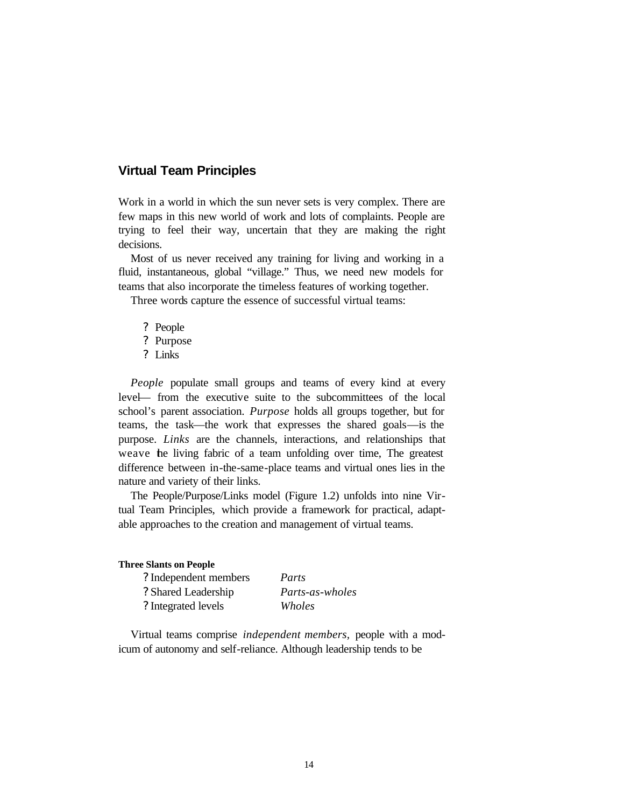## **Virtual Team Principles**

Work in a world in which the sun never sets is very complex. There are few maps in this new world of work and lots of complaints. People are trying to feel their way, uncertain that they are making the right decisions.

Most of us never received any training for living and working in a fluid, instantaneous, global "village." Thus, we need new models for teams that also incorporate the timeless features of working together.

Three words capture the essence of successful virtual teams:

- ? People
- ? Purpose
- ? Links

*People* populate small groups and teams of every kind at every level— from the executive suite to the subcommittees of the local school's parent association. *Purpose* holds all groups together, but for teams, the task—the work that expresses the shared goals—is the purpose. *Links* are the channels, interactions, and relationships that weave he living fabric of a team unfolding over time, The greatest difference between in-the-same-place teams and virtual ones lies in the nature and variety of their links.

The People/Purpose/Links model (Figure 1.2) unfolds into nine Virtual Team Principles, which provide a framework for practical, adaptable approaches to the creation and management of virtual teams.

#### **Three Slants on People**

| ? Independent members | Parts           |
|-----------------------|-----------------|
| ? Shared Leadership   | Parts-as-wholes |
| ? Integrated levels   | Wholes          |

Virtual teams comprise *independent members,* people with a modicum of autonomy and self-reliance. Although leadership tends to be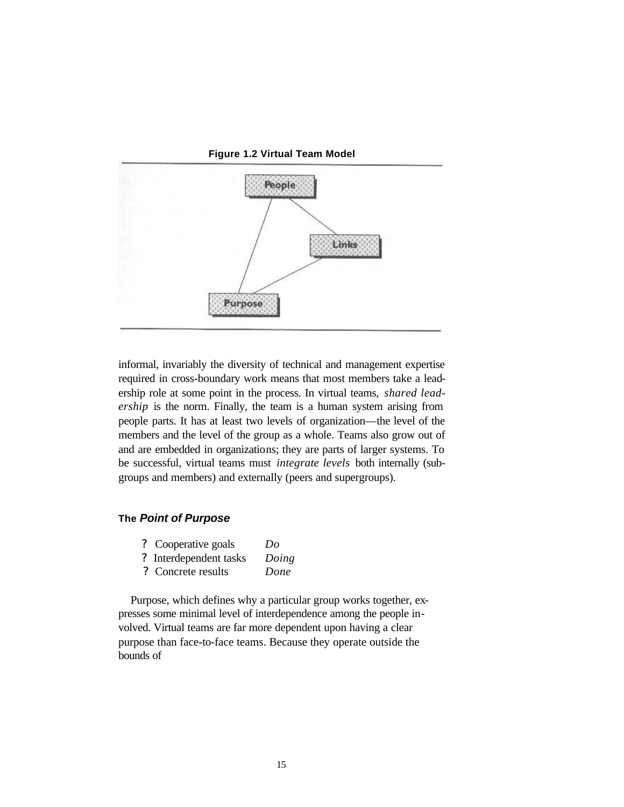**Figure 1.2 Virtual Team Model**



informal, invariably the diversity of technical and management expertise required in cross-boundary work means that most members take a leadership role at some point in the process. In virtual teams, *shared leadership* is the norm. Finally, the team is a human system arising from people parts. It has at least two levels of organization—the level of the members and the level of the group as a whole. Teams also grow out of and are embedded in organizations; they are parts of larger systems. To be successful, virtual teams must *integrate levels* both internally (subgroups and members) and externally (peers and supergroups).

### **The** *Point of Purpose*

| ? Cooperative goals    | Do    |
|------------------------|-------|
| ? Interdependent tasks | Doing |
| ? Concrete results     | Done  |

Purpose, which defines why a particular group works together, expresses some minimal level of interdependence among the people involved. Virtual teams are far more dependent upon having a clear purpose than face-to-face teams. Because they operate outside the bounds of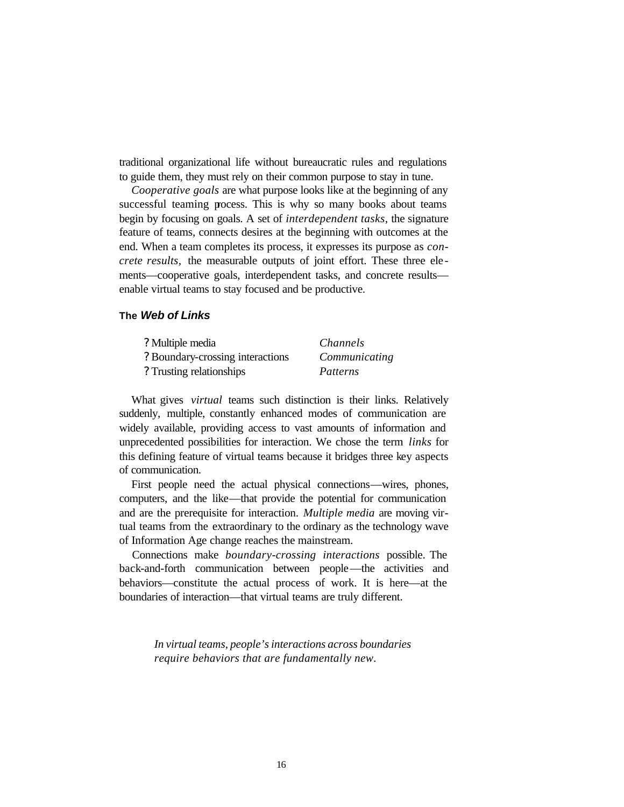traditional organizational life without bureaucratic rules and regulations to guide them, they must rely on their common purpose to stay in tune.

*Cooperative goals* are what purpose looks like at the beginning of any successful teaming process. This is why so many books about teams begin by focusing on goals. A set of *interdependent tasks,* the signature feature of teams, connects desires at the beginning with outcomes at the end. When a team completes its process, it expresses its purpose as *concrete results,* the measurable outputs of joint effort. These three ele ments—cooperative goals, interdependent tasks, and concrete results enable virtual teams to stay focused and be productive.

### **The** *Web of Links*

| ? Multiple media                 | <i>Channels</i> |
|----------------------------------|-----------------|
| ? Boundary-crossing interactions | Communicating   |
| ? Trusting relationships         | Patterns        |

What gives *virtual* teams such distinction is their links. Relatively suddenly, multiple, constantly enhanced modes of communication are widely available, providing access to vast amounts of information and unprecedented possibilities for interaction. We chose the term *links* for this defining feature of virtual teams because it bridges three key aspects of communication.

First people need the actual physical connections—wires, phones, computers, and the like—that provide the potential for communication and are the prerequisite for interaction. *Multiple media* are moving virtual teams from the extraordinary to the ordinary as the technology wave of Information Age change reaches the mainstream.

Connections make *boundary-crossing interactions* possible. The back-and-forth communication between people—the activities and behaviors—constitute the actual process of work. It is here—at the boundaries of interaction—that virtual teams are truly different.

> *In virtual teams, people's interactions across boundaries require behaviors that are fundamentally new.*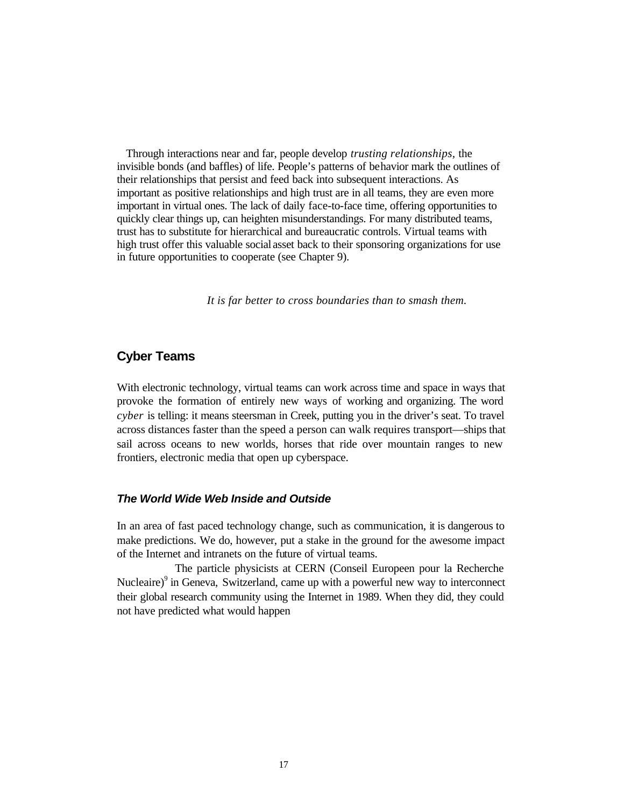Through interactions near and far, people develop *trusting relationships,* the invisible bonds (and baffles) of life. People's patterns of behavior mark the outlines of their relationships that persist and feed back into subsequent interactions. As important as positive relationships and high trust are in all teams, they are even more important in virtual ones. The lack of daily face-to-face time, offering opportunities to quickly clear things up, can heighten misunderstandings. For many distributed teams, trust has to substitute for hierarchical and bureaucratic controls. Virtual teams with high trust offer this valuable social asset back to their sponsoring organizations for use in future opportunities to cooperate (see Chapter 9).

*It is far better to cross boundaries than to smash them.*

## **Cyber Teams**

With electronic technology, virtual teams can work across time and space in ways that provoke the formation of entirely new ways of working and organizing. The word *cyber* is telling: it means steersman in Creek, putting you in the driver's seat. To travel across distances faster than the speed a person can walk requires transport—ships that sail across oceans to new worlds, horses that ride over mountain ranges to new frontiers, electronic media that open up cyberspace.

### *The World Wide Web Inside and Outside*

In an area of fast paced technology change, such as communication, it is dangerous to make predictions. We do, however, put a stake in the ground for the awesome impact of the Internet and intranets on the future of virtual teams.

The particle physicists at CERN (Conseil Europeen pour la Recherche Nucleaire) $\degree$  in Geneva, Switzerland, came up with a powerful new way to interconnect their global research community using the Internet in 1989. When they did, they could not have predicted what would happen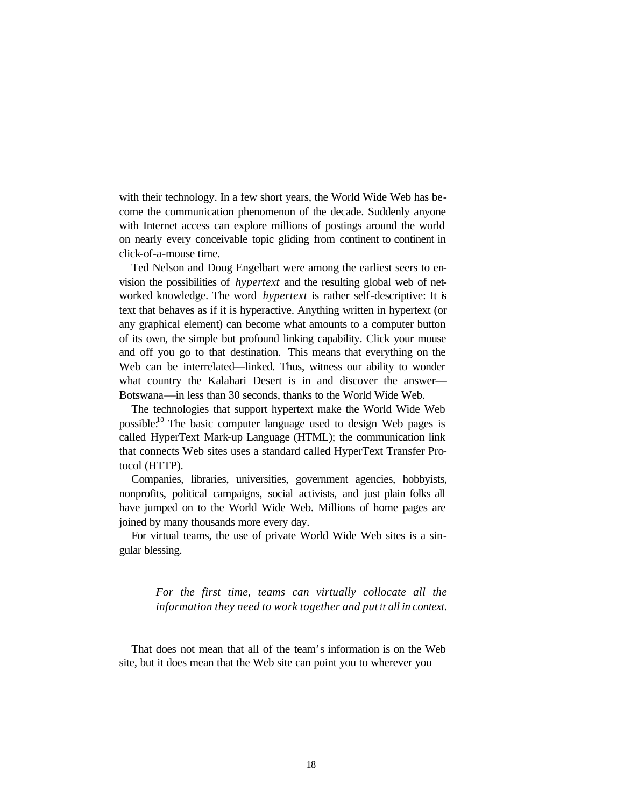with their technology. In a few short years, the World Wide Web has become the communication phenomenon of the decade. Suddenly anyone with Internet access can explore millions of postings around the world on nearly every conceivable topic gliding from continent to continent in click-of-a-mouse time.

Ted Nelson and Doug Engelbart were among the earliest seers to envision the possibilities of *hypertext* and the resulting global web of networked knowledge. The word *hypertext* is rather self-descriptive: It is text that behaves as if it is hyperactive. Anything written in hypertext (or any graphical element) can become what amounts to a computer button of its own, the simple but profound linking capability. Click your mouse and off you go to that destination. This means that everything on the Web can be interrelated—linked. Thus, witness our ability to wonder what country the Kalahari Desert is in and discover the answer— Botswana—in less than 30 seconds, thanks to the World Wide Web.

The technologies that support hypertext make the World Wide Web possible: $^{10}$  The basic computer language used to design Web pages is called HyperText Mark-up Language (HTML); the communication link that connects Web sites uses a standard called HyperText Transfer Protocol (HTTP).

Companies, libraries, universities, government agencies, hobbyists, nonprofits, political campaigns, social activists, and just plain folks all have jumped on to the World Wide Web. Millions of home pages are joined by many thousands more every day.

For virtual teams, the use of private World Wide Web sites is a singular blessing.

> *For the first time, teams can virtually collocate all the information they need to work together and put it all in context.*

That does not mean that all of the team's information is on the Web site, but it does mean that the Web site can point you to wherever you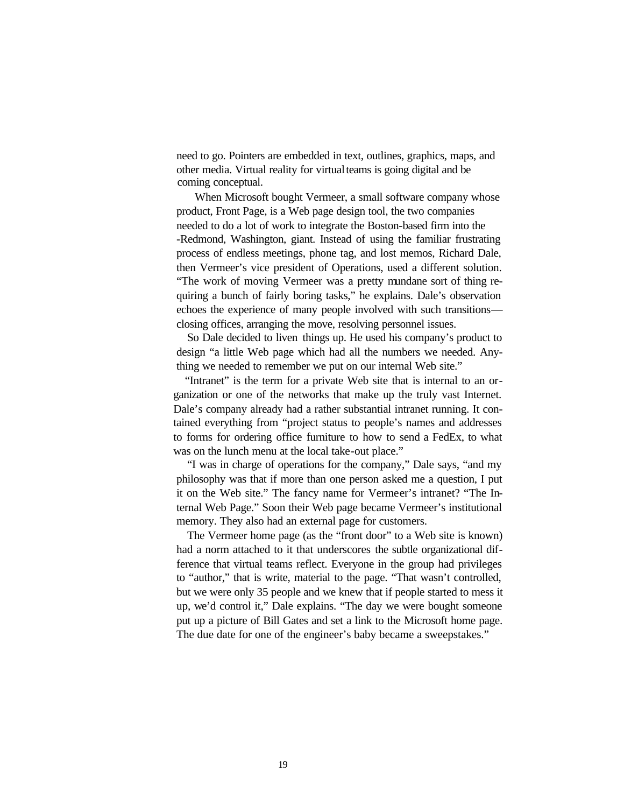need to go. Pointers are embedded in text, outlines, graphics, maps, and other media. Virtual reality for virtual teams is going digital and be coming conceptual.

 When Microsoft bought Vermeer, a small software company whose product, Front Page, is a Web page design tool, the two companies needed to do a lot of work to integrate the Boston-based firm into the -Redmond, Washington, giant. Instead of using the familiar frustrating process of endless meetings, phone tag, and lost memos, Richard Dale, then Vermeer's vice president of Operations, used a different solution. "The work of moving Vermeer was a pretty mundane sort of thing requiring a bunch of fairly boring tasks," he explains. Dale's observation echoes the experience of many people involved with such transitions closing offices, arranging the move, resolving personnel issues.

So Dale decided to liven things up. He used his company's product to design "a little Web page which had all the numbers we needed. Anything we needed to remember we put on our internal Web site."

"Intranet" is the term for a private Web site that is internal to an organization or one of the networks that make up the truly vast Internet. Dale's company already had a rather substantial intranet running. It contained everything from "project status to people's names and addresses to forms for ordering office furniture to how to send a FedEx, to what was on the lunch menu at the local take-out place."

"I was in charge of operations for the company," Dale says, "and my philosophy was that if more than one person asked me a question, I put it on the Web site." The fancy name for Vermeer's intranet? "The Internal Web Page." Soon their Web page became Vermeer's institutional memory. They also had an external page for customers.

The Vermeer home page (as the "front door" to a Web site is known) had a norm attached to it that underscores the subtle organizational difference that virtual teams reflect. Everyone in the group had privileges to "author," that is write, material to the page. "That wasn't controlled, but we were only 35 people and we knew that if people started to mess it up, we'd control it," Dale explains. "The day we were bought someone put up a picture of Bill Gates and set a link to the Microsoft home page. The due date for one of the engineer's baby became a sweepstakes."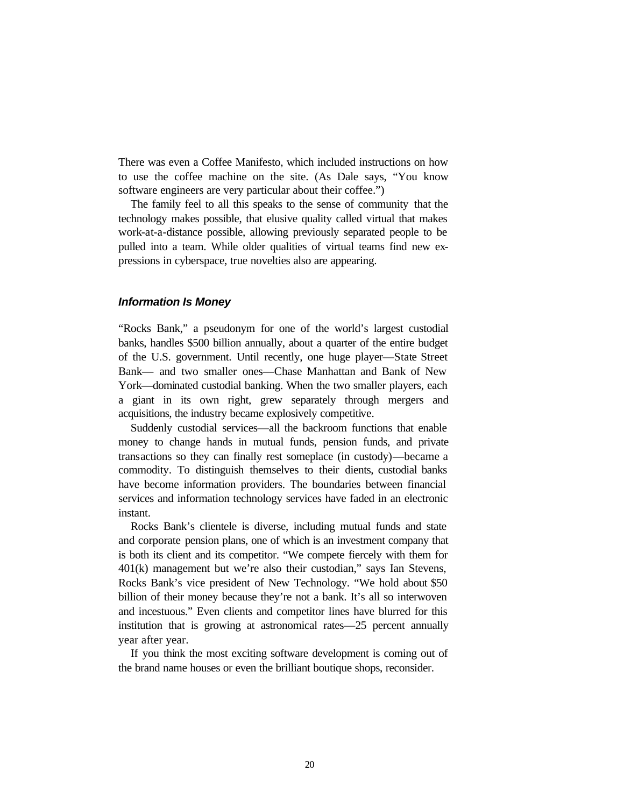There was even a Coffee Manifesto, which included instructions on how to use the coffee machine on the site. (As Dale says, "You know software engineers are very particular about their coffee.")

The family feel to all this speaks to the sense of community that the technology makes possible, that elusive quality called virtual that makes work-at-a-distance possible, allowing previously separated people to be pulled into a team. While older qualities of virtual teams find new expressions in cyberspace, true novelties also are appearing.

### *Information Is Money*

"Rocks Bank," a pseudonym for one of the world's largest custodial banks, handles \$500 billion annually, about a quarter of the entire budget of the U.S. government. Until recently, one huge player—State Street Bank— and two smaller ones—Chase Manhattan and Bank of New York—dominated custodial banking. When the two smaller players, each a giant in its own right, grew separately through mergers and acquisitions, the industry became explosively competitive.

Suddenly custodial services—all the backroom functions that enable money to change hands in mutual funds, pension funds, and private transactions so they can finally rest someplace (in custody)—became a commodity. To distinguish themselves to their dients, custodial banks have become information providers. The boundaries between financial services and information technology services have faded in an electronic instant.

Rocks Bank's clientele is diverse, including mutual funds and state and corporate pension plans, one of which is an investment company that is both its client and its competitor. "We compete fiercely with them for 401(k) management but we're also their custodian," says Ian Stevens, Rocks Bank's vice president of New Technology. "We hold about \$50 billion of their money because they're not a bank. It's all so interwoven and incestuous." Even clients and competitor lines have blurred for this institution that is growing at astronomical rates—25 percent annually year after year.

If you think the most exciting software development is coming out of the brand name houses or even the brilliant boutique shops, reconsider.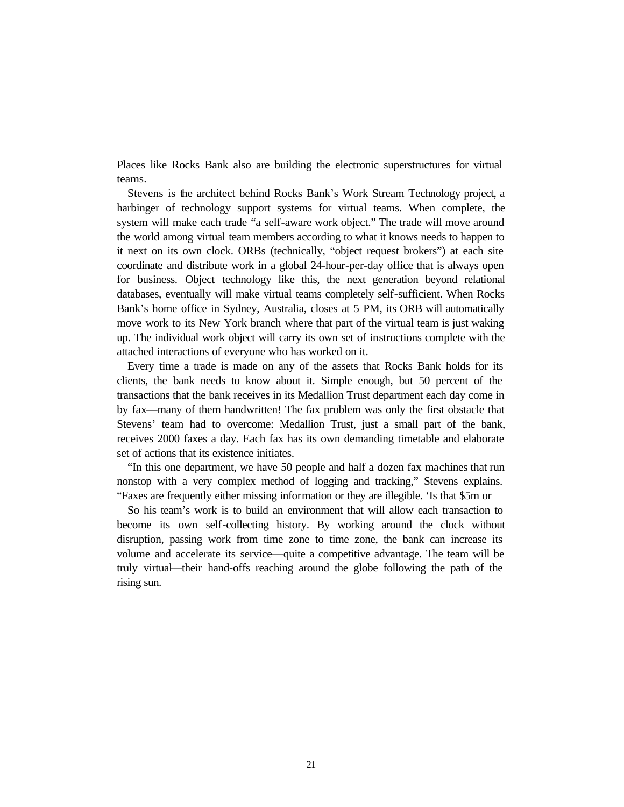Places like Rocks Bank also are building the electronic superstructures for virtual teams.

Stevens is the architect behind Rocks Bank's Work Stream Technology project, a harbinger of technology support systems for virtual teams. When complete, the system will make each trade "a self-aware work object." The trade will move around the world among virtual team members according to what it knows needs to happen to it next on its own clock. ORBs (technically, "object request brokers") at each site coordinate and distribute work in a global 24-hour-per-day office that is always open for business. Object technology like this, the next generation beyond relational databases, eventually will make virtual teams completely self-sufficient. When Rocks Bank's home office in Sydney, Australia, closes at 5 PM, its ORB will automatically move work to its New York branch where that part of the virtual team is just waking up. The individual work object will carry its own set of instructions complete with the attached interactions of everyone who has worked on it.

Every time a trade is made on any of the assets that Rocks Bank holds for its clients, the bank needs to know about it. Simple enough, but 50 percent of the transactions that the bank receives in its Medallion Trust department each day come in by fax—many of them handwritten! The fax problem was only the first obstacle that Stevens' team had to overcome: Medallion Trust, just a small part of the bank, receives 2000 faxes a day. Each fax has its own demanding timetable and elaborate set of actions that its existence initiates.

"In this one department, we have 50 people and half a dozen fax machines that run nonstop with a very complex method of logging and tracking," Stevens explains. "Faxes are frequently either missing information or they are illegible. 'Is that \$5m or

So his team's work is to build an environment that will allow each transaction to become its own self-collecting history. By working around the clock without disruption, passing work from time zone to time zone, the bank can increase its volume and accelerate its service—quite a competitive advantage. The team will be truly virtual—their hand-offs reaching around the globe following the path of the rising sun.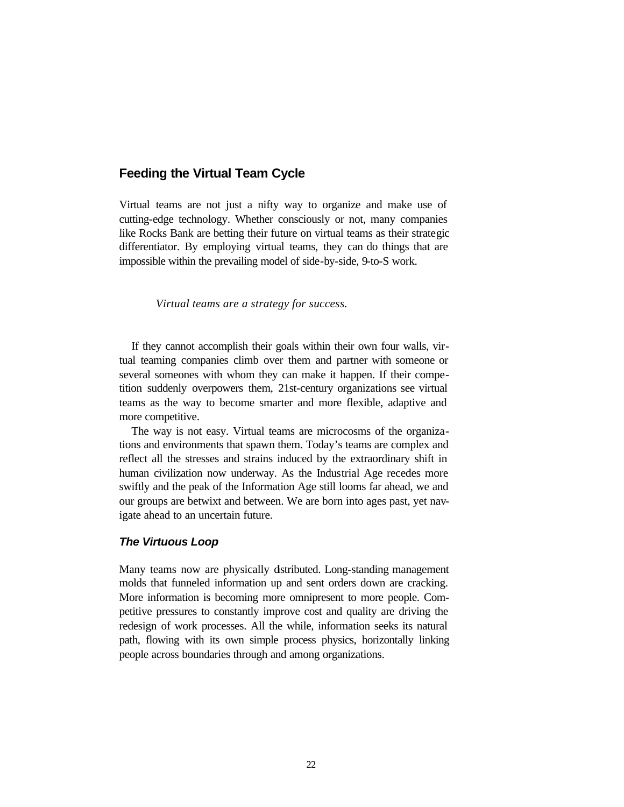## **Feeding the Virtual Team Cycle**

Virtual teams are not just a nifty way to organize and make use of cutting-edge technology. Whether consciously or not, many companies like Rocks Bank are betting their future on virtual teams as their strategic differentiator. By employing virtual teams, they can do things that are impossible within the prevailing model of side-by-side, 9-to-S work.

*Virtual teams are a strategy for success.*

If they cannot accomplish their goals within their own four walls, virtual teaming companies climb over them and partner with someone or several someones with whom they can make it happen. If their competition suddenly overpowers them, 21st-century organizations see virtual teams as the way to become smarter and more flexible, adaptive and more competitive.

The way is not easy. Virtual teams are microcosms of the organizations and environments that spawn them. Today's teams are complex and reflect all the stresses and strains induced by the extraordinary shift in human civilization now underway. As the Industrial Age recedes more swiftly and the peak of the Information Age still looms far ahead, we and our groups are betwixt and between. We are born into ages past, yet navigate ahead to an uncertain future.

#### *The Virtuous Loop*

Many teams now are physically distributed. Long-standing management molds that funneled information up and sent orders down are cracking. More information is becoming more omnipresent to more people. Competitive pressures to constantly improve cost and quality are driving the redesign of work processes. All the while, information seeks its natural path, flowing with its own simple process physics, horizontally linking people across boundaries through and among organizations.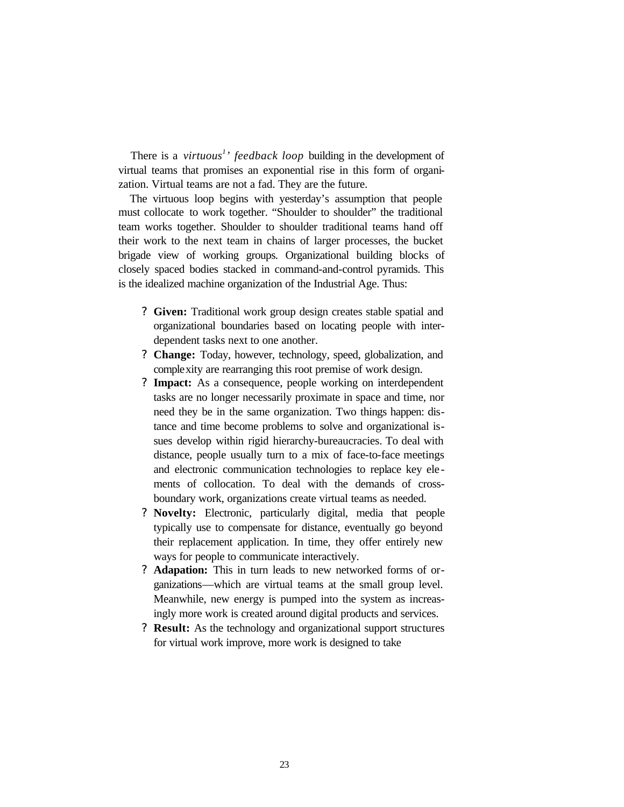There is a *virtuous<sup>1</sup> ' feedback loop* building in the development of virtual teams that promises an exponential rise in this form of organization. Virtual teams are not a fad. They are the future.

The virtuous loop begins with yesterday's assumption that people must collocate to work together. "Shoulder to shoulder" the traditional team works together. Shoulder to shoulder traditional teams hand off their work to the next team in chains of larger processes, the bucket brigade view of working groups. Organizational building blocks of closely spaced bodies stacked in command-and-control pyramids. This is the idealized machine organization of the Industrial Age. Thus:

- **? Given:** Traditional work group design creates stable spatial and organizational boundaries based on locating people with interdependent tasks next to one another.
- **? Change:** Today, however, technology, speed, globalization, and complexity are rearranging this root premise of work design.
- **? Impact:** As a consequence, people working on interdependent tasks are no longer necessarily proximate in space and time, nor need they be in the same organization. Two things happen: distance and time become problems to solve and organizational issues develop within rigid hierarchy-bureaucracies. To deal with distance, people usually turn to a mix of face-to-face meetings and electronic communication technologies to replace key ele ments of collocation. To deal with the demands of crossboundary work, organizations create virtual teams as needed.
- **? Novelty:** Electronic, particularly digital, media that people typically use to compensate for distance, eventually go beyond their replacement application. In time, they offer entirely new ways for people to communicate interactively.
- **? Adapation:** This in turn leads to new networked forms of organizations—which are virtual teams at the small group level. Meanwhile, new energy is pumped into the system as increasingly more work is created around digital products and services.
- **? Result:** As the technology and organizational support structures for virtual work improve, more work is designed to take